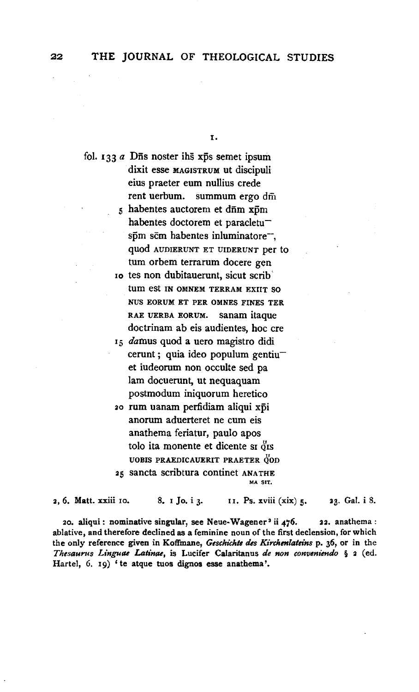I.

fol. 133 *a* Dñs noster ihs xps semet ipsum dixit esse MAGISTRUM ut discipuli eius praeter eum nullius crede rent uerbum. summum ergo dm  $5$  habentes auctorem et d $\bar{n}$ m x $\bar{p}$ m habentes doctorem et paracletu $s\bar{p}m$  sc $m$  habentes inluminatore $\bar{m}$ , quod AUDIERUNT ET UIDERUNT per to tum orbem terrarum docere gen Io tes non dubitauerunt, sicut scrib' tum est IN OMNEM TERRAM EXIIT SO NUS EORUM ET PER OMNES FINES TER RAE UERBA EORUM. Sanam itaque doctrinam ab eis audientes, hoc ere 15 damus quod a uero magistro didi cerunt ; quia ideo populum gentiuet iudeorum non occulte sed pa lam docuerunt, ut nequaquam postmodum iniquorum heretico 20 rum uanam perfidiam aliqui xpi anorum aduerteret ne cum eis anathema feriatur, paulo apos tolo ita monente et dicente sr $\delta$ rs UOBIS PRAEDICAUERIT PRAETER OOD

25 sancta scribtura continet ANATHE

2, 6. Matt. xxiii 10. 8. 1 Jo. i 3. 11. Ps. xviii (xix) 5. 23. Gal. i 8.

20. aliqui: nominative singular, see Neue-Wagener<sup>3</sup> ii 476. 22. anathema: ablative, and therefore declined as a feminine noun of the first declension, for which the only reference given in Koffmane, *Geschi'chte des Kirchmlateins* p. 36, or in the *Thesaurus Linguae Latinae,* is Lucifer Calaritanus *de non conveniendo* § 2 (ed. Hartel, 6. I9) 'te atque tuos dignos esse anathema'.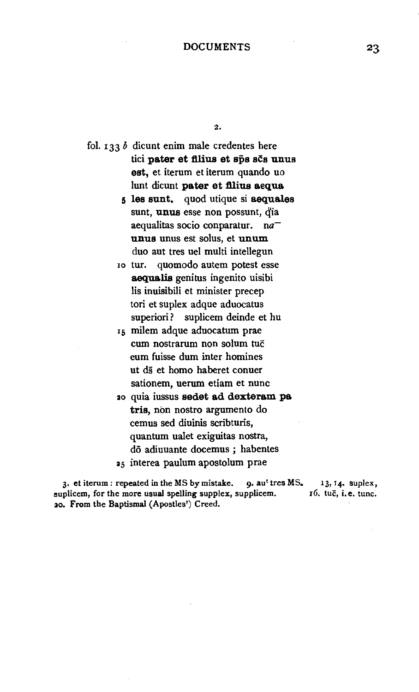2.

fol. 133 *b* dicunt enim male credentes here tici pater et filius et sps scs unus est, et iterum et iterum quando uo lunt dicunt pater et filius aequa.

> 5 les sunt. quod utique si aequales sunt, unus esse non possunt, dia aequalitas socio conparatur.  $na^$ unus unus est solus, et unum duo aut tres uel multi intellegun

10 tur. quomodo autem potest esse aequalis genitus ingenito uisibi lis inuisibili et minister precep tori et suplex adque aduocatus superiori? suplicem deinde et hu

15 milem adque aduocatum prae cum nostrarum non solum tuc eum fuisse dum inter homines ut ds et homo haberet conuer sationem, uerum etiam et nunc

3o quia iussus sedet ad dexteram pa. tris, non nostro argumento do cemus sed diuinis scribturis, quantum ualet exiguitas nostra, dō adiuuante docemus; habentes *35* interea paulum apostolum prae

3. et iterum: repeated in the MS by mistake.  $q$ . au<sup>t</sup> tres MS. suplicem, for the more usual spelling supplex, supplicem. *30.* From the Baptismal (Apostles') Creed. 13, 14. suplex, r6. tuc, i.e. tunc.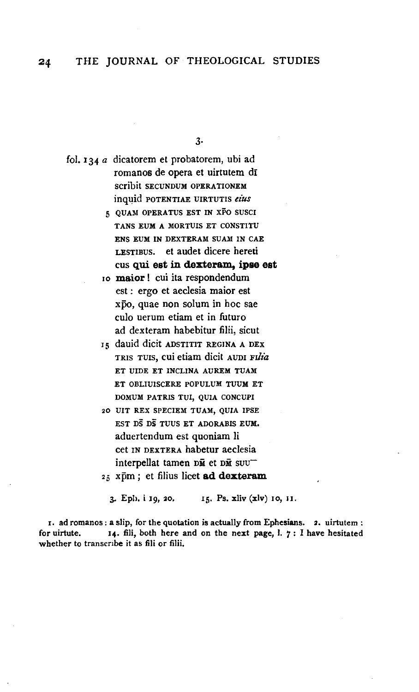3.

fol. 134 a dicatorem et probatorem, ubi ad romanos de opera et uirtutem dī scribit SECUNDUM OPERATIONEM inquid POTENTIAE UIRTUTIS eius

- 5 QUAM OPERATUS EST IN XFO SUSCI TANS EUM A MORTUIS ET CONSTITU ENS EUM IN DEXTERAM SUAM IN CAE LESTIBUS. et audet dicere hereti cus qui est in dexteram, ipse est
- 10 maior! cui ita respondendum est : ergo et aeclesia maior est xpo. quae non solum in hoc sae culo uerum etiam et in futuro ad dexteram habebitur filii, sicut
- 15 dauid dicit ADSTITIT REGINA A DEX TRIS TUIS, cui etiam dicit AUDI Filia ET UIDE ET INCLINA AUREM TUAM ET OBLIUISCERE POPULUM TUUM ET DOMUM PATRIS TUI, QUIA CONCUPI
- 20 UIT REX SPECIEM TUAM, QUIA IPSE EST DS DS TUUS ET ADORABIS EUM. aduertendum est quoniam li cet IN DEXTERA habetur aeclesia interpellat tamen DM et DM SUU"
- 25 xpm; et filius licet ad dexteram

3. Eph. i 19, 20. 15. Ps. xliv (xlv) 10, 11.

1. ad romanos: a slip, for the quotation is actually from Ephesians. 2. uirtutem: for uirtute. 14. fili, both here and on the next page, l. 7: I have hesitated whether to transcribe it as fili or filii.

24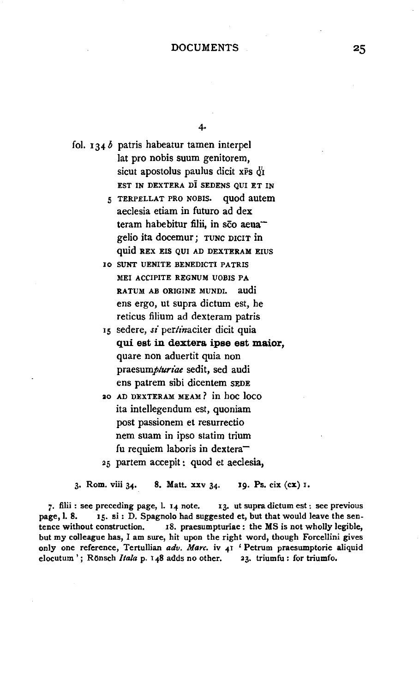## DOCUMENTS

4·

fol. 134 *b* patris habeatur tamen interpel lat pro nobis suum genitorem, sicut apostolus paulus dicit xPs  $\ddot{q}_I$ EST IN DEXTERA DI SEDENS QUI ET IN

> 5 TERPELLAT PRO NOBIS. quod autem aeclesia etiam in futuro ad dex teram habebitur filii, in sco aeuagelio ita docemur ; TUNC DICIT in quid REX EIS QUI AD DEXTERAM EIUS

IO SUNT UENITE BENEDICTI PATRIS MEI ACCIPITE REGNUM *VOBIS* PA RATUM ABORIGINE MUNDI. audi ens ergo, ut supra dictum est, he reticus filium ad dexteram patris

15 sedere, *si* pertinaciter dicit quia qui est in dextera ipse est maior, quare non aduertit quia non *praesumplurzae* sedit, sed audi ens patrem sibi dicentem SEDE

ao AD DEXTERAM MEAM ? in hoc lOCO ita intellegendum est, quoniam post passionem et resurrectio nem suam in ipso statim trium fu requiem laboris in dextera-25 partem accepit: quod et aeclesia,

3· Rom. viii *34·* 8. Matt. xxv *34·* 19. Ps. cix (ex) I.

7· filii : see preceding page, I. 14 note. 13. ut supra dictum est: see previous page, l. 8. I5. si: D. Spagnolo had suggested et, but that would leave the sentence without construction. IS. praesumpturiae: the MS is not wholly legible, but my colleague has, I am sure, hit upon the right word, though Forcellini gives only one reference, Tertullian *adv. Marc.* iv 4I ' Petrum praesumptorie aliquid elocutum<sup>'</sup>; Rönsch *Itala* p. 148 adds no other. 23. triumfu: for triumfo.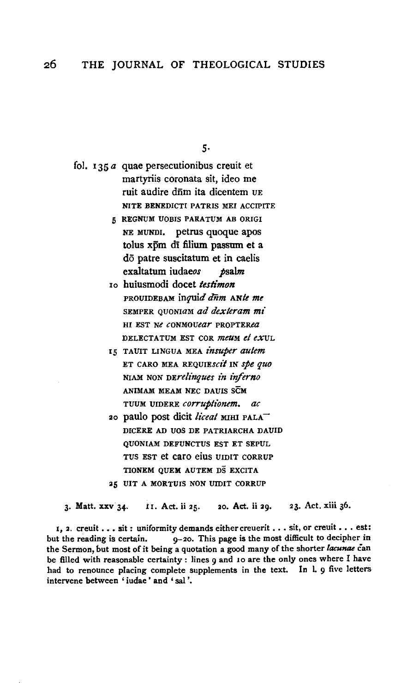$5-$ 

- fol.  $135a$  quae persecutionibus creuit et martyriis coronata sit, ideo me ruit audire dūm ita dicentem UE NITE BENEDICTI PATRIS MEI ACCIPITE
	- 5 REGNUM UOBIS PARATUM AB ORIGI NE MUNDI, petrus quoque apos tolus xpm di filium passum et a do patre suscitatum et in caelis exaltatum iudaeos  $t$ salm
	- 10 huiusmodi docet testimon PROUIDEBAM inquid dnm ANte me SEMPER QUONIAM ad dexteram mi HI EST Ne CONMOUear PROPTERea DELECTATUM EST COR *meum et ex*ul.
	- 15 TAUIT LINGUA MEA insuper autem ET CARO MEA REQUIEscit IN spe quo NIAM NON DErelinques in inferno ANIMAM MEAM NEC DAUIS SCM TUUM UIDERE corruptionem. ac
	- 20 paulo post dicit liceal MIHI PALA DICERE AD UOS DE PATRIARCHA DAUID **OUONIAM DEFUNCTUS EST ET SEPUL** TUS EST et caro eius UIDIT CORRUP TIONEM QUEM AUTEM DS EXCITA 25 UIT A MORTUIS NON UIDIT CORRUP

3. Matt. xxv 34. 20. Act. ii 29. 23. Act. xiii 36. i1. Act. ii 25.

1, 2. creuit . . . sit : uniformity demands either creuerit . . . sit, or creuit . . . est: but the reading is certain. 9-20. This page is the most difficult to decipher in the Sermon, but most of it being a quotation a good many of the shorter lacunae can be filled with reasonable certainty : lines 9 and 10 are the only ones where I have had to renounce placing complete supplements in the text. In l. 9 five letters intervene between 'iudae' and 'sal'.

26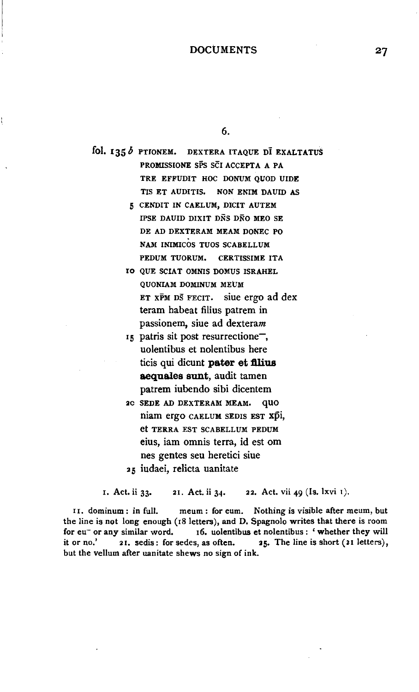## **DOCUMENTS**

6.

fol. 135 $b$  PTIONEM. DEXTERA ITAQUE DI EXALTATUS PROMISSIONE SPS SCI ACCEPTA A PA TRE EFFUDIT HOC DONUM QUOD UIDE TIS ET AUDITIS, NON ENIM DAUID AS 5 CENDIT IN CAELUM, DICIT AUTEM IPSE DAUID DIXIT DNS DNO MEO SE DE AD DEXTERAM MEAM DONEC PO NAM INIMICOS TUOS SCABELLUM PEDUM TUORUM. CERTISSIME ITA IO QUE SCIAT OMNIS DOMUS ISRAHEL QUONIAM DOMINUM MEUM ET XPM DS FECIT. siue ergo ad dex teram habeat filius patrem in passionem, siue ad dexteram 15 patris sit post resurrectione<sup>-</sup>, uolentibus et nolentibus here ticis qui dicunt **pater et filius** aequales sunt, audit tamen patrem iubendo sibi dicentem 2C SEDE AD DEXTERAM MEAM. QUO niam ergo CAELUM SEDIS EST xpi, et TERRA EST SCABELLUM PEDUM

eius, iam omnis terra, id est om

nes gentes seu heretici siue <sup>2</sup>s iudaei, relicta uanitate

I. Act. ii 33· 21. Act. ii 34· 2 2. Act. vii 49 (Is. lxvi 1).

II. dominum: in full. meum: for eum. Nothing is visible after meum, but the line is not long enough (IS letters), and D. Spagnolo writes that there is room for eu- or any similar word. 16. uolentibus et nolentibus : ' whether they will it or no.' 21. sedis: for sedes, as often. 25. The line is short (21 letters), but the vellum after uanitate shews no sign of ink.

27